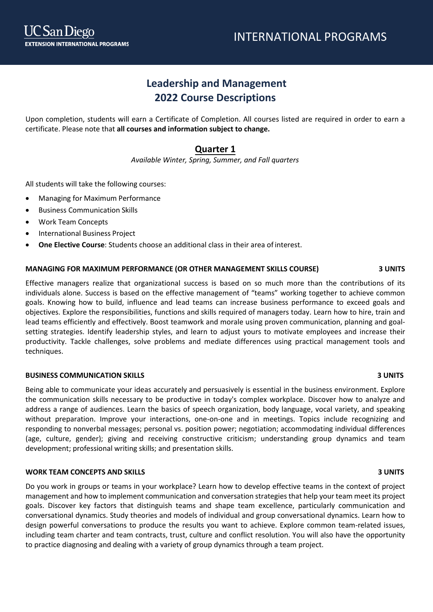# **Leadership and Management 2022 Course Descriptions**

Upon completion, students will earn a Certificate of Completion. All courses listed are required in order to earn a certificate. Please note that **all courses and information subject to change.**

## **Quarter 1**

*Available Winter, Spring, Summer, and Fall quarters*

All students will take the following courses:

- Managing for Maximum Performance
- Business Communication Skills
- Work Team Concepts
- International Business Project
- **One Elective Course**: Students choose an additional class in their area of interest.

### **MANAGING FOR MAXIMUM PERFORMANCE (OR OTHER MANAGEMENT SKILLS COURSE) 3 UNITS**

Effective managers realize that organizational success is based on so much more than the contributions of its individuals alone. Success is based on the effective management of "teams" working together to achieve common goals. Knowing how to build, influence and lead teams can increase business performance to exceed goals and objectives. Explore the responsibilities, functions and skills required of managers today. Learn how to hire, train and lead teams efficiently and effectively. Boost teamwork and morale using proven communication, planning and goalsetting strategies. Identify leadership styles, and learn to adjust yours to motivate employees and increase their productivity. Tackle challenges, solve problems and mediate differences using practical management tools and techniques.

### **BUSINESS COMMUNICATION SKILLS 3 UNITS**

Being able to communicate your ideas accurately and persuasively is essential in the business environment. Explore the communication skills necessary to be productive in today's complex workplace. Discover how to analyze and address a range of audiences. Learn the basics of speech organization, body language, vocal variety, and speaking without preparation. Improve your interactions, one-on-one and in meetings. Topics include recognizing and responding to nonverbal messages; personal vs. position power; negotiation; accommodating individual differences (age, culture, gender); giving and receiving constructive criticism; understanding group dynamics and team development; professional writing skills; and presentation skills.

### **WORK TEAM CONCEPTS AND SKILLS 3 UNITS**

Do you work in groups or teams in your workplace? Learn how to develop effective teams in the context of project management and how to implement communication and conversation strategies that help your team meet its project goals. Discover key factors that distinguish teams and shape team excellence, particularly communication and conversational dynamics. Study theories and models of individual and group conversational dynamics. Learn how to design powerful conversations to produce the results you want to achieve. Explore common team-related issues, including team charter and team contracts, trust, culture and conflict resolution. You will also have the opportunity to practice diagnosing and dealing with a variety of group dynamics through a team project.